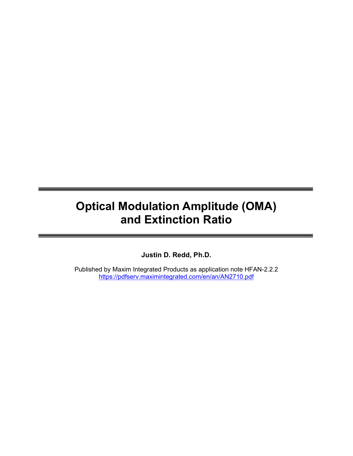# Optical Modulation Amplitude (OMA) and Extinction Ratio

Justin D. Redd, Ph.D.

Published by Maxim Integrated Products as application note HFAN-2.2.2 https://pdfserv.maximintegrated.com/en/an/AN2710.pdf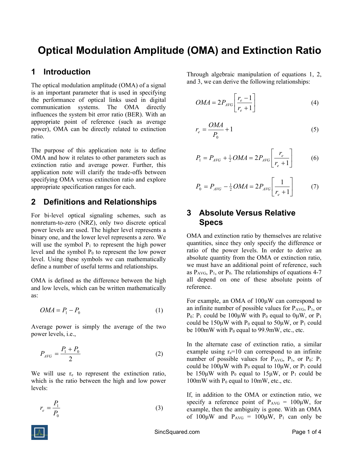## Optical Modulation Amplitude (OMA) and Extinction Ratio

#### 1 Introduction

The optical modulation amplitude (OMA) of a signal is an important parameter that is used in specifying the performance of optical links used in digital communication systems. The OMA directly influences the system bit error ratio (BER). With an appropriate point of reference (such as average power), OMA can be directly related to extinction ratio.

The purpose of this application note is to define OMA and how it relates to other parameters such as extinction ratio and average power. Further, this application note will clarify the trade-offs between specifying OMA versus extinction ratio and explore appropriate specification ranges for each.

## 2 Definitions and Relationships

For bi-level optical signaling schemes, such as nonreturn-to-zero (NRZ), only two discrete optical power levels are used. The higher level represents a binary one, and the lower level represents a zero. We will use the symbol  $P_1$  to represent the high power level and the symbol  $P_0$  to represent the low power level. Using these symbols we can mathematically define a number of useful terms and relationships.

OMA is defined as the difference between the high and low levels, which can be written mathematically as:

$$
OMA = P_1 - P_0 \tag{1}
$$

Average power is simply the average of the two power levels, i.e.,

$$
P_{AVG} = \frac{P_1 + P_0}{2} \tag{2}
$$

We will use  $r_{e}$  to represent the extinction ratio, which is the ratio between the high and low power levels:

$$
r_e = \frac{P_1}{P_0} \tag{3}
$$

Through algebraic manipulation of equations 1, 2, and 3, we can derive the following relationships:

$$
OMA = 2P_{AVG} \left[ \frac{r_e - 1}{r_e + 1} \right] \tag{4}
$$

$$
r_e = \frac{OMA}{P_0} + 1\tag{5}
$$

$$
P_1 = P_{AVG} + \frac{1}{2} OMA = 2P_{AVG} \left[ \frac{r_e}{r_e + 1} \right] \tag{6}
$$

$$
P_0 = P_{AVG} - \frac{1}{2} OMA = 2P_{AVG} \left[ \frac{1}{r_e + 1} \right] \tag{7}
$$

### 3 Absolute Versus Relative Specs

OMA and extinction ratio by themselves are relative quantities, since they only specify the difference or ratio of the power levels. In order to derive an absolute quantity from the OMA or extinction ratio, we must have an additional point of reference, such as  $P_{AVG}$ ,  $P_1$ , or  $P_0$ . The relationships of equations 4-7 all depend on one of these absolute points of reference.

For example, an OMA of 100μW can correspond to an infinite number of possible values for  $P_{AVG}$ ,  $P_1$ , or P<sub>0</sub>: P<sub>1</sub> could be 100µW with P<sub>0</sub> equal to 0µW, or P<sub>1</sub> could be 150µW with  $P_0$  equal to 50µW, or  $P_1$  could be 100mW with  $P_0$  equal to 99.9mW, etc., etc.

In the alternate case of extinction ratio, a similar example using  $r_e=10$  can correspond to an infinite number of possible values for  $P_{AVG}$ ,  $P_1$ , or  $P_0$ :  $P_1$ could be 100μW with  $P_0$  equal to 10μW, or  $P_1$  could be 150μW with  $P_0$  equal to 15μW, or  $P_1$  could be 100mW with  $P_0$  equal to 10mW, etc., etc.

If, in addition to the OMA or extinction ratio, we specify a reference point of  $P_{AVG} = 100 \mu W$ , for example, then the ambiguity is gone. With an OMA of  $100\mu$ W and  $P_{AVG} = 100\mu$ W,  $P_1$  can only be

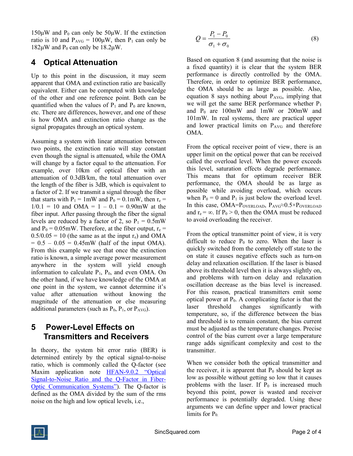$150\mu$ W and P<sub>0</sub> can only be  $50\mu$ W. If the extinction ratio is 10 and  $P_{AVG} = 100\mu W$ , then  $P_1$  can only be  $182\mu$ W and P<sub>0</sub> can only be  $18.2\mu$ W.

## 4 Optical Attenuation

Up to this point in the discussion, it may seem apparent that OMA and extinction ratio are basically equivalent. Either can be computed with knowledge of the other and one reference point. Both can be quantified when the values of  $P_1$  and  $P_0$  are known, etc. There are differences, however, and one of these is how OMA and extinction ratio change as the signal propagates through an optical system.

Assuming a system with linear attenuation between two points, the extinction ratio will stay constant even though the signal is attenuated, while the OMA will change by a factor equal to the attenuation. For example, over 10km of optical fiber with an attenuation of 0.3dB/km, the total attenuation over the length of the fiber is 3dB, which is equivalent to a factor of 2. If we transmit a signal through the fiber that starts with  $P_1 = 1$ mW and  $P_0 = 0.1$ mW, then  $r_e =$  $1/0.1 = 10$  and OMA =  $1 - 0.1 = 0.90$ mW at the fiber input. After passing through the fiber the signal levels are reduced by a factor of 2, so  $P_1 = 0.5$ mW and  $P_0 = 0.05$ mW. Therefore, at the fiber output,  $r_e$  =  $0.5/0.05 = 10$  (the same as at the input r<sub>e</sub>) and OMA  $= 0.5 - 0.05 = 0.45$ mW (half of the input OMA). From this example we see that once the extinction ratio is known, a simple average power measurement anywhere in the system will yield enough information to calculate  $P_1$ ,  $P_0$ , and even OMA. On the other hand, if we have knowledge of the OMA at one point in the system, we cannot determine it's value after attenuation without knowing the magnitude of the attenuation or else measuring additional parameters (such as  $P_0$ ,  $P_1$ , or  $P_{AVG}$ ).

## 5 Power-Level Effects on Transmitters and Receivers

In theory, the system bit error ratio (BER) is determined entirely by the optical signal-to-noise ratio, which is commonly called the Q-factor (see Maxim application note HFAN-9.0.2 "Optical Signal-to-Noise Ratio and the Q-Factor in Fiber-Optic Communication Systems"). The Q-factor is defined as the OMA divided by the sum of the rms noise on the high and low optical levels, i.e.,

$$
Q = \frac{P_1 - P_0}{\sigma_1 + \sigma_0} \tag{8}
$$

Based on equation 8 (and assuming that the noise is a fixed quantity) it is clear that the system BER performance is directly controlled by the OMA. Therefore, in order to optimize BER performance, the OMA should be as large as possible. Also, equation 8 says nothing about  $P_{AVG}$ , implying that we will get the same BER performance whether  $P_1$ and  $P_0$  are 100mW and 1mW or 200mW and 101mW. In real systems, there are practical upper and lower practical limits on  $P_{AVG}$  and therefore OMA.

From the optical receiver point of view, there is an upper limit on the optical power that can be received called the overload level. When the power exceeds this level, saturation effects degrade performance. This means that for optimum receiver BER performance, the OMA should be as large as possible while avoiding overload, which occurs when  $P_0 = 0$  and  $P_1$  is just below the overload level. In this case, OMA=P<sub>OVERLOAD</sub>, P<sub>AVG</sub>≈0.5×P<sub>OVERLOAD</sub> and  $r_e = \infty$ . If  $P_0 > 0$ , then the OMA must be reduced to avoid overloading the receiver.

From the optical transmitter point of view, it is very difficult to reduce  $P_0$  to zero. When the laser is quickly switched from the completely off state to the on state it causes negative effects such as turn-on delay and relaxation oscillation. If the laser is biased above its threshold level then it is always slightly on, and problems with turn-on delay and relaxation oscillation decrease as the bias level is increased. For this reason, practical transmitters emit some optical power at  $P_0$ . A complicating factor is that the laser threshold changes significantly with temperature, so, if the difference between the bias and threshold is to remain constant, the bias current must be adjusted as the temperature changes. Precise control of the bias current over a large temperature range adds significant complexity and cost to the transmitter.

When we consider both the optical transmitter and the receiver, it is apparent that  $P_0$  should be kept as low as possible without getting so low that it causes problems with the laser. If  $P_0$  is increased much beyond this point, power is wasted and receiver performance is potentially degraded. Using these arguments we can define upper and lower practical limits for  $P_0$ .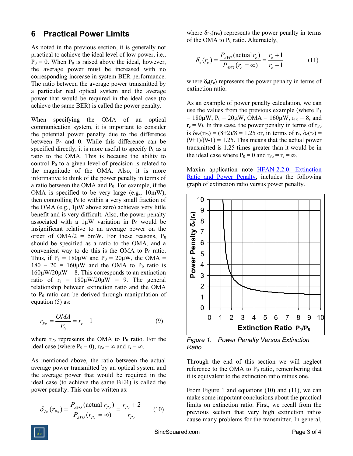#### 6 Practical Power Limits

As noted in the previous section, it is generally not practical to achieve the ideal level of low power, i.e.,  $P_0 = 0$ . When  $P_0$  is raised above the ideal, however, the average power must be increased with no corresponding increase in system BER performance. The ratio between the average power transmitted by a particular real optical system and the average power that would be required in the ideal case (to achieve the same BER) is called the power penalty.

When specifying the OMA of an optical communication system, it is important to consider the potential power penalty due to the difference between  $P_0$  and 0. While this difference can be specified directly, it is more useful to specify  $P_0$  as a ratio to the OMA. This is because the ability to control  $P_0$  to a given level of precision is related to the magnitude of the OMA. Also, it is more informative to think of the power penalty in terms of a ratio between the OMA and  $P_0$ . For example, if the OMA is specified to be very large (e.g., 10mW), then controlling  $P_0$  to within a very small fraction of the OMA (e.g., 1μW above zero) achieves very little benefit and is very difficult. Also, the power penalty associated with a  $1\mu$ W variation in P<sub>0</sub> would be insignificant relative to an average power on the order of  $OMA/2 = 5mW$ . For these reasons,  $P_0$ should be specified as a ratio to the OMA, and a convenient way to do this is the OMA to  $P_0$  ratio. Thus, if  $P_1 = 180 \mu W$  and  $P_0 = 20 \mu W$ , the OMA =  $180 - 20 = 160 \mu W$  and the OMA to P<sub>0</sub> ratio is  $160\mu W/20\mu W = 8$ . This corresponds to an extinction ratio of  $r_e = 180 \mu W/20 \mu W = 9$ . The general relationship between extinction ratio and the OMA to  $P_0$  ratio can be derived through manipulation of equation (5) as:

$$
r_{P_o} = \frac{OMA}{P_o} = r_e - 1
$$
\n(9)

where  $r_{Po}$  represents the OMA to  $P_0$  ratio. For the ideal case (where  $P_0 = 0$ ),  $r_{P_0} = \infty$  and  $r_e = \infty$ .

As mentioned above, the ratio between the actual average power transmitted by an optical system and the average power that would be required in the ideal case (to achieve the same BER) is called the power penalty. This can be written as:

$$
\delta_{p_0}(r_{p_0}) = \frac{P_{AVG}(\text{actual } r_{p_0})}{P_{AVG}(r_{p_0} = \infty)} = \frac{r_{p_0} + 2}{r_{p_0}} \qquad (10)
$$

where  $\delta_{Po}(r_{Po})$  represents the power penalty in terms of the OMA to  $P_0$  ratio. Alternately,

$$
\delta_e(r_e) = \frac{P_{AVG}(\text{actual } r_e)}{P_{AVG}(r_e = \infty)} = \frac{r_e + 1}{r_e - 1}
$$
(11)

where  $\delta_e(r_e)$  represents the power penalty in terms of extinction ratio.

As an example of power penalty calculation, we can use the values from the previous example (where  $P_1$ )  $= 180 \mu W$ ,  $P_0 = 20 \mu W$ , OMA = 160 $\mu W$ ,  $r_{P_0} = 8$ , and  $r_e = 9$ ). In this case, the power penalty in terms of  $r_{Po}$ is  $\delta_{Po}(r_{Po}) = (8+2)/8 = 1.25$  or, in terms of  $r_e$ ,  $\delta_e(r_e) =$  $(9+1)/(9-1) = 1.25$ . This means that the actual power transmitted is 1.25 times greater than it would be in the ideal case where  $P_0 = 0$  and  $r_{P_0} = r_e = \infty$ .

Maxim application note **HFAN-2.2.0**: Extinction Ratio and Power Penalty, includes the following graph of extinction ratio versus power penalty.



Figure 1. Power Penalty Versus Extinction Ratio

Through the end of this section we will neglect reference to the OMA to  $P_0$  ratio, remembering that it is equivalent to the extinction ratio minus one.

From Figure 1 and equations (10) and (11), we can make some important conclusions about the practical limits on extinction ratio. First, we recall from the previous section that very high extinction ratios cause many problems for the transmitter. In general,